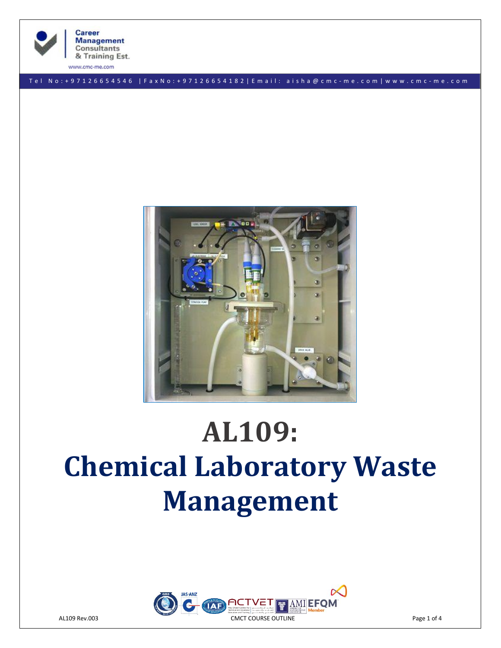

**Consultants** 

T e l N o : + 9 7 1 2 6 6 5 4 5 4 6 | F a x N o : + 9 7 1 2 6 6 5 4 1 8 2 | E m a i l : a i s h a @ c m c - m e . c o m | w w w . c m c - m e . c o m



# **AL109: Chemical Laboratory Waste Management**

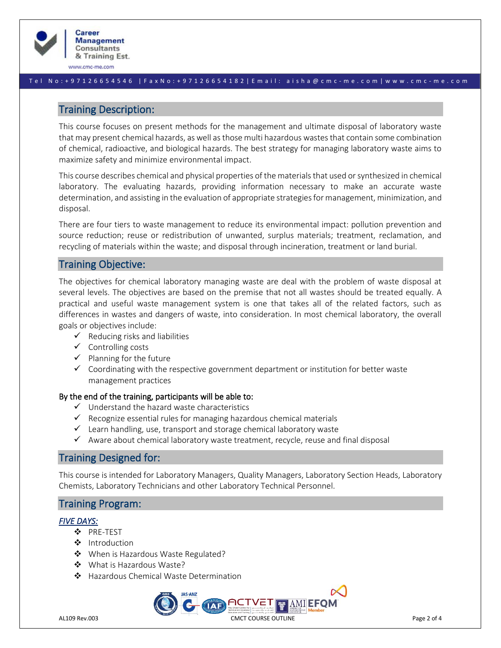

#### T e l N o : + 9 7 1 2 6 6 5 4 5 4 6 | F a x N o : + 9 7 1 2 6 6 5 4 1 8 2 | E m a i l : a i s h a @ c m c - m e . c o m | w w w . c m c - m e . c o m

# Training Description:

This course focuses on present methods for the management and ultimate disposal of laboratory waste that may present chemical hazards, as well as those multi hazardous wastes that contain some combination of chemical, radioactive, and biological hazards. The best strategy for managing laboratory waste aims to maximize safety and minimize environmental impact.

This course describes chemical and physical properties of the materials that used or synthesized in chemical laboratory. The evaluating hazards, providing information necessary to make an accurate waste determination, and assisting in the evaluation of appropriate strategies for management, minimization, and disposal.

There are four tiers to waste management to reduce its environmental impact: pollution prevention and source reduction; reuse or redistribution of unwanted, surplus materials; treatment, reclamation, and recycling of materials within the waste; and disposal through incineration, treatment or land burial.

# Training Objective:

The objectives for chemical laboratory managing waste are deal with the problem of waste disposal at several levels. The objectives are based on the premise that not all wastes should be treated equally. A practical and useful waste management system is one that takes all of the related factors, such as differences in wastes and dangers of waste, into consideration. In most chemical laboratory, the overall goals or objectives include:

- $\checkmark$  Reducing risks and liabilities
- ✓ Controlling costs
- $\checkmark$  Planning for the future
- $\checkmark$  Coordinating with the respective government department or institution for better waste management practices

#### By the end of the training, participants will be able to:

- $\checkmark$  Understand the hazard waste characteristics
- $\checkmark$  Recognize essential rules for managing hazardous chemical materials
- $\checkmark$  Learn handling, use, transport and storage chemical laboratory waste
- ✓ Aware about chemical laboratory waste treatment, recycle, reuse and final disposal

# Training Designed for:

This course is intended for Laboratory Managers, Quality Managers, Laboratory Section Heads, Laboratory Chemists, Laboratory Technicians and other Laboratory Technical Personnel.

# Training Program:

#### *FIVE DAYS:*

- ❖ PRE-TEST
- ❖ Introduction
- ❖ When is Hazardous Waste Regulated?
- ❖ What is Hazardous Waste?
- ❖ Hazardous Chemical Waste Determination

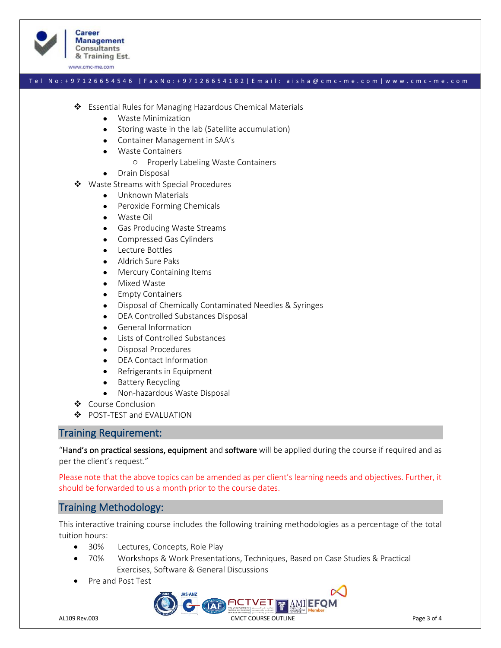

#### T e l N o : + 9 7 1 2 6 6 5 4 5 4 6 | F a x N o : + 9 7 1 2 6 6 5 4 1 8 2 | E m a i l : a i s h a @ c m c - m e . c o m | w w w . c m c - m e . c o m

- ❖ Essential Rules for Managing Hazardous Chemical Materials
	- Waste Minimization
	- Storing waste in the lab (Satellite accumulation)
	- Container Management in SAA's
	- Waste Containers
		- o Properly Labeling Waste Containers
	- Drain Disposal
- ❖ Waste Streams with Special Procedures
	- Unknown Materials
	- Peroxide Forming Chemicals
	- Waste Oil
	- Gas Producing Waste Streams
	- Compressed Gas Cylinders
	- Lecture Bottles
	- Aldrich Sure Paks
	- Mercury Containing Items
	- Mixed Waste
	- Empty Containers
	- Disposal of Chemically Contaminated Needles & Syringes
	- DEA Controlled Substances Disposal
	- General Information
	- Lists of Controlled Substances
	- Disposal Procedures
	- DEA Contact Information
	- Refrigerants in Equipment
	- Battery Recycling
	- Non-hazardous Waste Disposal
- ❖ Course Conclusion
- ❖ POST-TEST and EVALUATION

## Training Requirement:

"Hand's on practical sessions, equipment and software will be applied during the course if required and as per the client's request."

Please note that the above topics can be amended as per client's learning needs and objectives. Further, it should be forwarded to us a month prior to the course dates.

# Training Methodology:

This interactive training course includes the following training methodologies as a percentage of the total tuition hours:

- 30% Lectures, Concepts, Role Play
- 70% Workshops & Work Presentations, Techniques, Based on Case Studies & Practical Exercises, Software & General Discussions
- Pre and Post Test